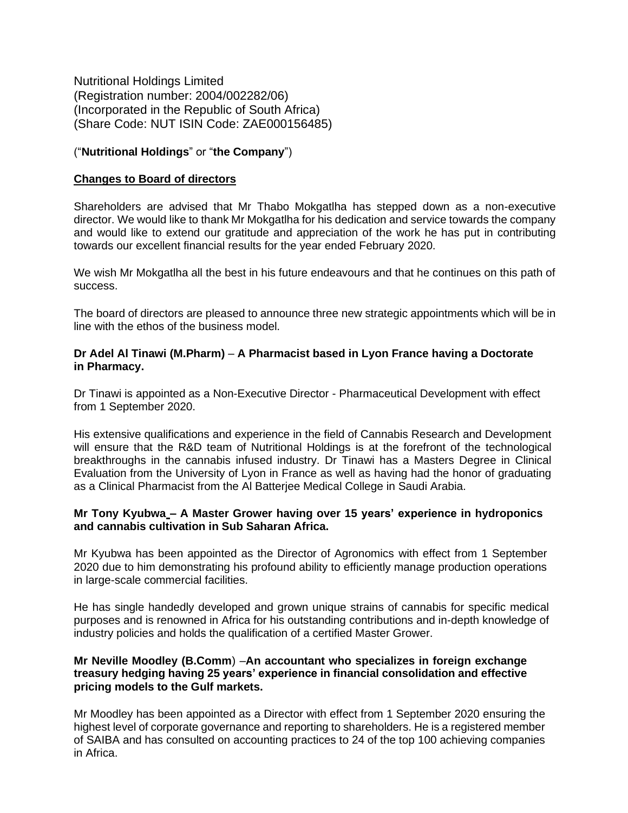Nutritional Holdings Limited (Registration number: 2004/002282/06) (Incorporated in the Republic of South Africa) (Share Code: NUT ISIN Code: ZAE000156485)

# ("**Nutritional Holdings**" or "**the Company**")

#### **Changes to Board of directors**

Shareholders are advised that Mr Thabo Mokgatlha has stepped down as a non-executive director. We would like to thank Mr Mokgatlha for his dedication and service towards the company and would like to extend our gratitude and appreciation of the work he has put in contributing towards our excellent financial results for the year ended February 2020.

We wish Mr Mokgatlha all the best in his future endeavours and that he continues on this path of success.

The board of directors are pleased to announce three new strategic appointments which will be in line with the ethos of the business model.

# **Dr Adel Al Tinawi (M.Pharm)** – **A Pharmacist based in Lyon France having a Doctorate in Pharmacy.**

Dr Tinawi is appointed as a Non-Executive Director - Pharmaceutical Development with effect from 1 September 2020.

His extensive qualifications and experience in the field of Cannabis Research and Development will ensure that the R&D team of Nutritional Holdings is at the forefront of the technological breakthroughs in the cannabis infused industry. Dr Tinawi has a Masters Degree in Clinical Evaluation from the University of Lyon in France as well as having had the honor of graduating as a Clinical Pharmacist from the Al Batterjee Medical College in Saudi Arabia.

## **Mr Tony Kyubwa – A Master Grower having over 15 years' experience in hydroponics and cannabis cultivation in Sub Saharan Africa.**

Mr Kyubwa has been appointed as the Director of Agronomics with effect from 1 September 2020 due to him demonstrating his profound ability to efficiently manage production operations in large-scale commercial facilities.

He has single handedly developed and grown unique strains of cannabis for specific medical purposes and is renowned in Africa for his outstanding contributions and in-depth knowledge of industry policies and holds the qualification of a certified Master Grower.

# **Mr Neville Moodley (B.Comm**) –**An accountant who specializes in foreign exchange treasury hedging having 25 years' experience in financial consolidation and effective pricing models to the Gulf markets.**

Mr Moodley has been appointed as a Director with effect from 1 September 2020 ensuring the highest level of corporate governance and reporting to shareholders. He is a registered member of SAIBA and has consulted on accounting practices to 24 of the top 100 achieving companies in Africa.